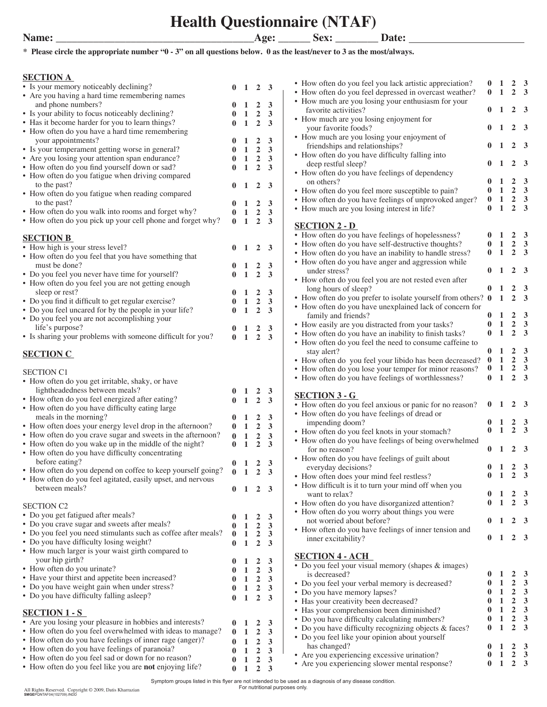**Health Questionnaire (NTAF)**

**\* Please circle the appropriate number "0 - 3" on all questions below. 0 as the least/never to 3 as the most/always.**

### **SECTION A**

| <u>0001101111</u>                                             |              |                             |                         |                         | • How often do you feel you lack artistic appreciation?        | $\bf{0}$  | $\mathbf{1}$ | $2 \quad 3$      |                         |
|---------------------------------------------------------------|--------------|-----------------------------|-------------------------|-------------------------|----------------------------------------------------------------|-----------|--------------|------------------|-------------------------|
| • Is your memory noticeably declining?                        |              | $1\quad 2\quad 3$           |                         |                         | • How often do you feel depressed in overcast weather?         | $\bf{0}$  | $\mathbf{1}$ | $2 \quad 3$      |                         |
| • Are you having a hard time remembering names                |              |                             |                         |                         |                                                                |           |              |                  |                         |
| and phone numbers?                                            |              |                             | $\overline{2}$          | 3                       | • How much are you losing your enthusiasm for your             |           |              |                  |                         |
| • Is your ability to focus noticeably declining?              |              | 1                           | $\overline{2}$          | 3                       | favorite activities?                                           | $\bf{0}$  | 1            | $2 \quad 3$      |                         |
| • Has it become harder for you to learn things?               |              | 1                           | $\overline{2}$          |                         | • How much are you losing enjoyment for                        |           |              |                  |                         |
|                                                               |              |                             |                         | 3                       | your favorite foods?                                           |           | 1            | $2 \quad 3$      |                         |
| • How often do you have a hard time remembering               |              |                             |                         |                         | • How much are you losing your enjoyment of                    |           |              |                  |                         |
| your appointments?                                            |              |                             | $\overline{2}$          | 3                       |                                                                |           | 1            | $2 \quad 3$      |                         |
| • Is your temperament getting worse in general?               |              | 1                           | $\overline{2}$          | 3                       | friendships and relationships?                                 |           |              |                  |                         |
| • Are you losing your attention span endurance?               | 0            | 1                           | $\overline{2}$          | 3                       | • How often do you have difficulty falling into                |           |              |                  |                         |
| • How often do you find yourself down or sad?                 |              | 1                           | $\overline{2}$          | 3                       | deep restful sleep?                                            |           |              | $2 \quad 3$      |                         |
| • How often do you fatigue when driving compared              |              |                             |                         |                         | • How often do you have feelings of dependency                 |           |              |                  |                         |
|                                                               |              |                             |                         |                         | on others?                                                     |           | -1           | $2 \quad 3$      |                         |
| to the past?                                                  | 0            | 1                           | $\overline{2}$          | $\mathbf{3}$            | • How often do you feel more susceptible to pain?              |           | 1            | $2 \quad 3$      |                         |
| • How often do you fatigue when reading compared              |              |                             |                         |                         |                                                                |           | 1            | $2 \quad 3$      |                         |
| to the past?                                                  |              | 1                           | $\overline{2}$          | 3                       | • How often do you have feelings of unprovoked anger?          | $\bf{0}$  |              |                  |                         |
| • How often do you walk into rooms and forget why?            | $\bf{0}$     | 1                           | $\overline{2}$          | 3                       | • How much are you losing interest in life?                    | 0         | 1            | $2 \quad 3$      |                         |
| • How often do you pick up your cell phone and forget why?    | $\mathbf{0}$ | $\mathbf{1}$                | $\overline{2}$          | 3                       |                                                                |           |              |                  |                         |
|                                                               |              |                             |                         |                         | <b>SECTION 2 - D</b>                                           |           |              |                  |                         |
|                                                               |              |                             |                         |                         | • How often do you have feelings of hopelessness?              |           | 1            | $2 \quad 3$      |                         |
| <b>SECTION B</b>                                              |              |                             |                         |                         | • How often do you have self-destructive thoughts?             | 0         | 1            | $2 \quad 3$      |                         |
| • How high is your stress level?                              |              | 1                           | 2 3                     |                         |                                                                |           |              |                  |                         |
| • How often do you feel that you have something that          |              |                             |                         |                         | • How often do you have an inability to handle stress?         | 0         | 1            | $2 \quad 3$      |                         |
| must be done?                                                 |              |                             | $\overline{2}$          | 3                       | • How often do you have anger and aggression while             |           |              |                  |                         |
| • Do you feel you never have time for yourself?               |              | 1                           | $\overline{2}$          |                         | under stress?                                                  | 0         | 1            | $2 \quad 3$      |                         |
|                                                               |              |                             |                         | 3                       | • How often do you feel you are not rested even after          |           |              |                  |                         |
| • How often do you feel you are not getting enough            |              |                             |                         |                         | long hours of sleep?                                           | $\bf{0}$  | -1           | $2 \quad 3$      |                         |
| sleep or rest?                                                |              |                             | $\overline{2}$          | 3                       |                                                                |           |              |                  |                         |
| • Do you find it difficult to get regular exercise?           |              | 1                           | $\overline{2}$          | 3                       | • How often do you prefer to isolate yourself from others? 0 1 |           |              | $2 \quad 3$      |                         |
| • Do you feel uncared for by the people in your life?         |              | 1                           | $\overline{2}$          | 3                       | • How often do you have unexplained lack of concern for        |           |              |                  |                         |
| • Do you feel you are not accomplishing your                  |              |                             |                         |                         | family and friends?                                            |           | 1            | $2 \quad 3$      |                         |
| life's purpose?                                               |              |                             |                         |                         | • How easily are you distracted from your tasks?               |           | 1            | $2 \quad 3$      |                         |
|                                                               |              | 1                           | $\overline{\mathbf{2}}$ | $\mathbf{3}$            | • How often do you have an inability to finish tasks?          | 0         | 1            | $2 \quad 3$      |                         |
| • Is sharing your problems with someone difficult for you?    | $\mathbf{0}$ | $\mathbf{1}$                | $2 \quad 3$             |                         | • How often do you feel the need to consume caffeine to        |           |              |                  |                         |
|                                                               |              |                             |                         |                         | stay alert?                                                    | 0         | -1           | $2 \quad 3$      |                         |
| <b>SECTION C</b>                                              |              |                             |                         |                         |                                                                |           |              | $2 \quad 3$      |                         |
|                                                               |              |                             |                         |                         | • How often do you feel your libido has been decreased?        | $\bf{0}$  | -1           |                  |                         |
| <b>SECTION C1</b>                                             |              |                             |                         |                         | • How often do you lose your temper for minor reasons?         | $\bf{0}$  | 1            | $2 \quad 3$      |                         |
| • How often do you get irritable, shaky, or have              |              |                             |                         |                         | • How often do you have feelings of worthlessness?             | $\bf{0}$  | $\mathbf{1}$ | $2 \quad 3$      |                         |
|                                                               |              |                             |                         |                         |                                                                |           |              |                  |                         |
| lightheadedness between meals?                                |              | 1                           | 2                       | 3                       | <b>SECTION 3 - G</b>                                           |           |              |                  |                         |
| • How often do you feel energized after eating?               |              | 1                           | $\overline{2}$          | 3                       | • How often do you feel anxious or panic for no reason?        | $\bf{0}$  |              | $2 \overline{3}$ |                         |
| • How often do you have difficulty eating large               |              |                             |                         |                         |                                                                |           |              |                  |                         |
| meals in the morning?                                         |              | 1                           | $\overline{2}$          | 3                       | • How often do you have feelings of dread or                   |           |              |                  |                         |
| • How often does your energy level drop in the afternoon?     | $\bf{0}$     | 1                           | $\overline{2}$          | 3                       | impending doom?                                                |           |              | $\overline{2}$   | $\overline{\mathbf{3}}$ |
| • How often do you crave sugar and sweets in the afternoon?   | $\bf{0}$     | $\mathbf{1}$                | $\boldsymbol{2}$        | 3                       | • How often do you feel knots in your stomach?                 |           | 1            | $\mathbf{2}$     | $\overline{\mathbf{3}}$ |
| • How often do you wake up in the middle of the night?        | 0            | 1                           | $\overline{2}$          | 3                       | • How often do you have feelings of being overwhelmed          |           |              |                  |                         |
|                                                               |              |                             |                         |                         | for no reason?                                                 |           |              | $\overline{2}$   | $\overline{\mathbf{3}}$ |
| • How often do you have difficulty concentrating              |              |                             |                         |                         | • How often do you have feelings of guilt about                |           |              |                  |                         |
| before eating?                                                | 0            | 1                           | $\overline{2}$          | 3                       | everyday decisions?                                            |           |              | 2                | - 3                     |
| • How often do you depend on coffee to keep yourself going?   | $\bf{0}$     | 1                           | $\overline{2}$          | 3                       |                                                                | 0         | -1           | $2 \quad 3$      |                         |
| • How often do you feel agitated, easily upset, and nervous   |              |                             |                         |                         | • How often does your mind feel restless?                      |           |              |                  |                         |
| between meals?                                                |              | $0 \quad 1 \quad 2 \quad 3$ |                         |                         | • How difficult is it to turn your mind off when you           |           |              |                  |                         |
|                                                               |              |                             |                         |                         | want to relax?                                                 | $\bf{0}$  | $\mathbf{1}$ | $2 \quad 3$      |                         |
| <b>SECTION C2</b>                                             |              |                             |                         |                         | • How often do you have disorganized attention?                | $\bf{0}$  | 1            | $2 \quad 3$      |                         |
|                                                               |              |                             |                         |                         | • How often do you worry about things you were                 |           |              |                  |                         |
| • Do you get fatigued after meals?                            | $\bf{0}$     | $\mathbf{1}$                | $\overline{2}$          | 3                       | not worried about before?                                      | $0\quad1$ |              | $2 \quad 3$      |                         |
| • Do you crave sugar and sweets after meals?                  | $\bf{0}$     | 1                           | $\overline{2}$          | 3                       |                                                                |           |              |                  |                         |
| • Do you feel you need stimulants such as coffee after meals? | $\bf{0}$     | 1                           | $\overline{2}$          | 3                       | • How often do you have feelings of inner tension and          |           |              | $2 \quad 3$      |                         |
| • Do you have difficulty losing weight?                       | $\bf{0}$     | $\mathbf{1}$                | $\overline{2}$          | $\overline{\mathbf{3}}$ | inner excitability?                                            | $0\quad1$ |              |                  |                         |
| • How much larger is your waist girth compared to             |              |                             |                         |                         |                                                                |           |              |                  |                         |
| your hip girth?                                               |              |                             |                         |                         | <b>SECTION 4 - ACH</b>                                         |           |              |                  |                         |
|                                                               | 0            | 1                           | $\overline{2}$          | 3                       | • Do you feel your visual memory (shapes & images)             |           |              |                  |                         |
| • How often do you urinate?                                   |              | 1                           | $\overline{2}$          | 3                       | is decreased?                                                  | O.        | 1            | $\overline{2}$   | $\overline{\mathbf{3}}$ |
| • Have your thirst and appetite been increased?               | 0            | $\mathbf{1}$                | $\overline{2}$          | 3                       |                                                                | $\bf{0}$  | 1            | $\overline{2}$   | $\overline{\mathbf{3}}$ |
| • Do you have weight gain when under stress?                  | 0            | $\mathbf{1}$                | $\overline{2}$          | 3                       | • Do you feel your verbal memory is decreased?                 |           |              |                  |                         |
| • Do you have difficulty falling asleep?                      | $\bf{0}$     | $\mathbf{1}$                | $\overline{2}$          | 3                       | • Do you have memory lapses?                                   | 0         | 1            | $2 \quad 3$      |                         |
|                                                               |              |                             |                         |                         | • Has your creativity been decreased?                          |           | 1            | 2                | 3                       |
| <b>SECTION 1 - S</b>                                          |              |                             |                         |                         | • Has your comprehension been diminished?                      | $\bf{0}$  | 1            | $\overline{2}$   | $\overline{\mathbf{3}}$ |
| • Are you losing your pleasure in hobbies and interests?      |              |                             |                         |                         | • Do you have difficulty calculating numbers?                  | $\bf{0}$  | 1            | $2 \quad 3$      |                         |
|                                                               | $\bf{0}$     | 1                           | $\overline{\mathbf{c}}$ | 3                       | • Do you have difficulty recognizing objects & faces?          | 0         | 1            | $2 \quad 3$      |                         |
| • How often do you feel overwhelmed with ideas to manage?     | $\bf{0}$     | 1                           | $\overline{2}$          | 3                       | • Do you feel like your opinion about yourself                 |           |              |                  |                         |
| • How often do you have feelings of inner rage (anger)?       | $\bf{0}$     | $\mathbf{1}$                | $\overline{2}$          | 3                       | has changed?                                                   |           | 1            | $2 \quad 3$      |                         |
| • How often do you have feelings of paranoia?                 | $\bf{0}$     | 1                           | $\overline{2}$          | 3                       | • Are you experiencing excessive urination?                    |           | 1            | $2 \quad 3$      |                         |
| • How often do you feel sad or down for no reason?            | $\bf{0}$     | 1                           | $\overline{\mathbf{2}}$ | 3                       |                                                                | 0         | 1            | $2 \quad 3$      |                         |
| • How often do you feel like you are not enjoying life?       | $\bf{0}$     | <sup>1</sup>                | $\overline{2}$          | 3                       | • Are you experiencing slower mental response?                 |           |              |                  |                         |
|                                                               |              |                             |                         |                         |                                                                |           |              |                  |                         |